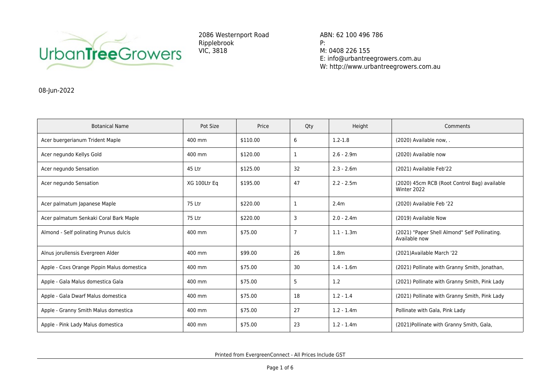

2086 Westernport Road Ripplebrook VIC, 3818

ABN: 62 100 496 786 P: M: 0408 226 155 E: info@urbantreegrowers.com.au W: http://www.urbantreegrowers.com.au

08-Jun-2022

| <b>Botanical Name</b>                      | Pot Size     | Price    | Qty            | Height           | Comments                                                       |
|--------------------------------------------|--------------|----------|----------------|------------------|----------------------------------------------------------------|
| Acer buergerianum Trident Maple            | 400 mm       | \$110.00 | 6              | $1.2 - 1.8$      | (2020) Available now, .                                        |
| Acer negundo Kellys Gold                   | 400 mm       | \$120.00 | 1              | $2.6 - 2.9m$     | (2020) Available now                                           |
| Acer negundo Sensation                     | 45 Ltr       | \$125.00 | 32             | $2.3 - 2.6m$     | (2021) Available Feb'22                                        |
| Acer negundo Sensation                     | XG 100Ltr Eq | \$195.00 | 47             | $2.2 - 2.5m$     | (2020) 45cm RCB (Root Control Bag) available<br>Winter 2022    |
| Acer palmatum Japanese Maple               | 75 Ltr       | \$220.00 | 1              | 2.4 <sub>m</sub> | (2020) Available Feb '22                                       |
| Acer palmatum Senkaki Coral Bark Maple     | 75 Ltr       | \$220.00 | 3              | $2.0 - 2.4m$     | (2019) Available Now                                           |
| Almond - Self polinating Prunus dulcis     | 400 mm       | \$75.00  | $\overline{7}$ | $1.1 - 1.3m$     | (2021) "Paper Shell Almond" Self Pollinating.<br>Available now |
| Alnus jorullensis Evergreen Alder          | 400 mm       | \$99.00  | 26             | 1.8 <sub>m</sub> | (2021) Available March '22                                     |
| Apple - Coxs Orange Pippin Malus domestica | 400 mm       | \$75.00  | 30             | $1.4 - 1.6m$     | (2021) Pollinate with Granny Smith, Jonathan,                  |
| Apple - Gala Malus domestica Gala          | 400 mm       | \$75.00  | 5              | 1.2              | (2021) Pollinate with Granny Smith, Pink Lady                  |
| Apple - Gala Dwarf Malus domestica         | 400 mm       | \$75.00  | 18             | $1.2 - 1.4$      | (2021) Pollinate with Granny Smith, Pink Lady                  |
| Apple - Granny Smith Malus domestica       | 400 mm       | \$75.00  | 27             | $1.2 - 1.4m$     | Pollinate with Gala, Pink Lady                                 |
| Apple - Pink Lady Malus domestica          | 400 mm       | \$75.00  | 23             | $1.2 - 1.4m$     | (2021) Pollinate with Granny Smith, Gala,                      |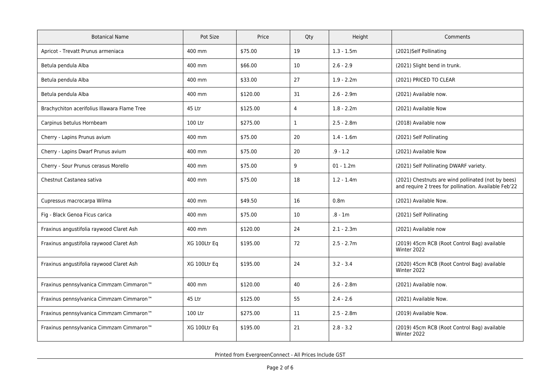| <b>Botanical Name</b>                                | Pot Size     | Price    | Qty          | Height           | Comments                                                                                                    |
|------------------------------------------------------|--------------|----------|--------------|------------------|-------------------------------------------------------------------------------------------------------------|
| Apricot - Trevatt Prunus armeniaca                   | 400 mm       | \$75.00  | 19           | $1.3 - 1.5m$     | (2021)Self Pollinating                                                                                      |
| Betula pendula Alba                                  | 400 mm       | \$66.00  | 10           | $2.6 - 2.9$      | (2021) Slight bend in trunk.                                                                                |
| Betula pendula Alba                                  | 400 mm       | \$33.00  | 27           | $1.9 - 2.2m$     | (2021) PRICED TO CLEAR                                                                                      |
| Betula pendula Alba                                  | 400 mm       | \$120.00 | 31           | $2.6 - 2.9m$     | (2021) Available now.                                                                                       |
| Brachychiton acerifolius Illawara Flame Tree         | 45 Ltr       | \$125.00 | 4            | $1.8 - 2.2m$     | (2021) Available Now                                                                                        |
| Carpinus betulus Hornbeam                            | 100 Ltr      | \$275.00 | $\mathbf{1}$ | $2.5 - 2.8m$     | (2018) Available now                                                                                        |
| Cherry - Lapins Prunus avium                         | 400 mm       | \$75.00  | 20           | $1.4 - 1.6m$     | (2021) Self Pollinating                                                                                     |
| Cherry - Lapins Dwarf Prunus avium                   | 400 mm       | \$75.00  | 20           | $.9 - 1.2$       | (2021) Available Now                                                                                        |
| Cherry - Sour Prunus cerasus Morello                 | 400 mm       | \$75.00  | 9            | $01 - 1.2m$      | (2021) Self Pollinating DWARF variety.                                                                      |
| Chestnut Castanea sativa                             | 400 mm       | \$75.00  | 18           | $1.2 - 1.4m$     | (2021) Chestnuts are wind pollinated (not by bees)<br>and require 2 trees for pollination. Available Feb'22 |
| Cupressus macrocarpa Wilma                           | 400 mm       | \$49.50  | 16           | 0.8 <sub>m</sub> | (2021) Available Now.                                                                                       |
| Fig - Black Genoa Ficus carica                       | 400 mm       | \$75.00  | 10           | $.8 - 1m$        | (2021) Self Pollinating                                                                                     |
| Fraxinus angustifolia raywood Claret Ash             | 400 mm       | \$120.00 | 24           | $2.1 - 2.3m$     | (2021) Available now                                                                                        |
| Fraxinus angustifolia raywood Claret Ash             | XG 100Ltr Eq | \$195.00 | 72           | $2.5 - 2.7m$     | (2019) 45cm RCB (Root Control Bag) available<br>Winter 2022                                                 |
| Fraxinus angustifolia raywood Claret Ash             | XG 100Ltr Eq | \$195.00 | 24           | $3.2 - 3.4$      | (2020) 45cm RCB (Root Control Bag) available<br>Winter 2022                                                 |
| Fraxinus pennsylvanica Cimmzam Cimmaron <sup>™</sup> | 400 mm       | \$120.00 | 40           | $2.6 - 2.8m$     | (2021) Available now.                                                                                       |
| Fraxinus pennsylvanica Cimmzam Cimmaron <sup>™</sup> | 45 Ltr       | \$125.00 | 55           | $2.4 - 2.6$      | (2021) Available Now.                                                                                       |
| Fraxinus pennsylvanica Cimmzam Cimmaron <sup>™</sup> | 100 Ltr      | \$275.00 | 11           | $2.5 - 2.8m$     | (2019) Available Now.                                                                                       |
| Fraxinus pennsylvanica Cimmzam Cimmaron <sup>™</sup> | XG 100Ltr Eq | \$195.00 | 21           | $2.8 - 3.2$      | (2019) 45cm RCB (Root Control Bag) available<br>Winter 2022                                                 |

Printed from EvergreenConnect - All Prices Include GST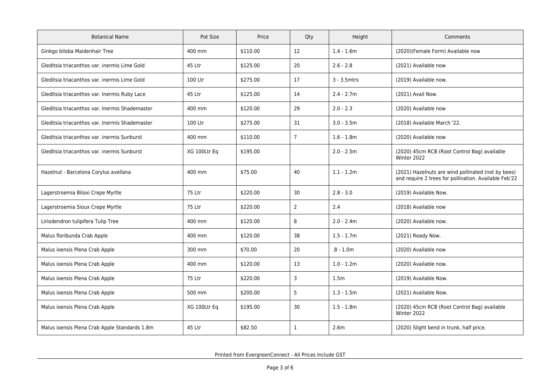| <b>Botanical Name</b>                          | Pot Size     | Price    | Qty            | Height       | Comments                                                                                                    |
|------------------------------------------------|--------------|----------|----------------|--------------|-------------------------------------------------------------------------------------------------------------|
| Ginkgo biloba Maidenhair Tree                  | 400 mm       | \$110.00 | 12             | $1.4 - 1.6m$ | (2020)(Female Form) Available now                                                                           |
| Gleditsia triacanthos var. inermis Lime Gold   | 45 Ltr       | \$125.00 | 20             | $2.6 - 2.8$  | (2021) Available now                                                                                        |
| Gleditsia triacanthos var. inermis Lime Gold   | 100 Ltr      | \$275.00 | 17             | 3 - 3.5mtrs  | (2019) Available now.                                                                                       |
| Gleditsia triacanthos var. Inermis Ruby Lace   | 45 Ltr       | \$125.00 | 14             | $2.4 - 2.7m$ | (2021) Avail Now.                                                                                           |
| Gleditsia triacanthos var. Inermis Shademaster | 400 mm       | \$120.00 | 29             | $2.0 - 2.3$  | (2020) Available now                                                                                        |
| Gleditsia triacanthos var. Inermis Shademaster | 100 Ltr      | \$275.00 | 31             | $3.0 - 3.5m$ | (2018) Available March '22.                                                                                 |
| Gleditsia triacanthos var. inermis Sunburst    | 400 mm       | \$110.00 | $\overline{7}$ | $1.6 - 1.8m$ | (2020) Available now                                                                                        |
| Gleditsia triacanthos var. inermis Sunburst    | XG 100Ltr Eq | \$195.00 |                | $2.0 - 2.5m$ | (2020) 45cm RCB (Root Control Bag) available<br>Winter 2022                                                 |
| Hazelnut - Barcelona Corylus avellana          | 400 mm       | \$75.00  | 40             | $1.1 - 1.2m$ | (2021) Hazelnuts are wind pollinated (not by bees)<br>and require 2 trees for pollination. Available Feb'22 |
| Lagerstroemia Biloxi Crepe Myrtle              | 75 Ltr       | \$220.00 | 30             | $2.8 - 3.0$  | (2019) Available Now.                                                                                       |
| Lagerstroemia Sioux Crepe Myrtle               | 75 Ltr       | \$220.00 | $\overline{2}$ | 2.4          | (2018) Available now                                                                                        |
| Liriodendron tulipifera Tulip Tree             | 400 mm       | \$120.00 | 8              | $2.0 - 2.4m$ | (2020) Available now.                                                                                       |
| Malus floribunda Crab Apple                    | 400 mm       | \$120.00 | 38             | $1.5 - 1.7m$ | (2021) Ready Now.                                                                                           |
| Malus ioensis Plena Crab Apple                 | 300 mm       | \$70.00  | 20             | $.8 - 1.0m$  | (2020) Available now                                                                                        |
| Malus ioensis Plena Crab Apple                 | 400 mm       | \$120.00 | 13             | $1.0 - 1.2m$ | (2020) Available now.                                                                                       |
| Malus ioensis Plena Crab Apple                 | 75 Ltr       | \$220.00 | 3              | 1.5m         | (2019) Available Now.                                                                                       |
| Malus ioensis Plena Crab Apple                 | 500 mm       | \$200.00 | 5              | $1.3 - 1.5m$ | (2021) Available Now.                                                                                       |
| Malus ioensis Plena Crab Apple                 | XG 100Ltr Eq | \$195.00 | 30             | $1.5 - 1.8m$ | (2020) 45cm RCB (Root Control Bag) available<br>Winter 2022                                                 |
| Malus ioensis Plena Crab Apple Standards 1.8m  | 45 Ltr       | \$82.50  | $\mathbf{1}$   | 2.6m         | (2020) Slight bend in trunk, half price.                                                                    |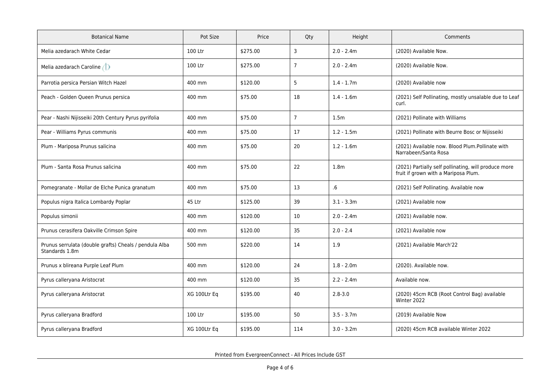| <b>Botanical Name</b>                                                    | Pot Size     | Price    | Qty            | Height           | Comments                                                                                     |
|--------------------------------------------------------------------------|--------------|----------|----------------|------------------|----------------------------------------------------------------------------------------------|
| Melia azedarach White Cedar                                              | 100 Ltr      | \$275.00 | 3              | $2.0 - 2.4m$     | (2020) Available Now.                                                                        |
| Melia azedarach Caroline                                                 | 100 Ltr      | \$275.00 | $\overline{7}$ | $2.0 - 2.4m$     | (2020) Available Now.                                                                        |
| Parrotia persica Persian Witch Hazel                                     | 400 mm       | \$120.00 | 5              | $1.4 - 1.7m$     | (2020) Available now                                                                         |
| Peach - Golden Queen Prunus persica                                      | 400 mm       | \$75.00  | 18             | $1.4 - 1.6m$     | (2021) Self Pollinating, mostly unsalable due to Leaf<br>curl.                               |
| Pear - Nashi Nijisseiki 20th Century Pyrus pyrifolia                     | 400 mm       | \$75.00  | $\overline{7}$ | 1.5 <sub>m</sub> | (2021) Pollinate with Williams                                                               |
| Pear - Williams Pyrus communis                                           | 400 mm       | \$75.00  | 17             | $1.2 - 1.5m$     | (2021) Pollinate with Beurre Bosc or Nijisseiki                                              |
| Plum - Mariposa Prunus salicina                                          | 400 mm       | \$75.00  | 20             | $1.2 - 1.6m$     | (2021) Available now. Blood Plum.Pollinate with<br>Narrabeen/Santa Rosa                      |
| Plum - Santa Rosa Prunus salicina                                        | 400 mm       | \$75.00  | 22             | 1.8 <sub>m</sub> | (2021) Partially self pollinating, will produce more<br>fruit if grown with a Mariposa Plum. |
| Pomegranate - Mollar de Elche Punica granatum                            | 400 mm       | \$75.00  | 13             | 6.6              | (2021) Self Pollinating. Available now                                                       |
| Populus nigra Italica Lombardy Poplar                                    | 45 Ltr       | \$125.00 | 39             | $3.1 - 3.3m$     | (2021) Available now                                                                         |
| Populus simonii                                                          | 400 mm       | \$120.00 | 10             | $2.0 - 2.4m$     | (2021) Available now.                                                                        |
| Prunus cerasifera Oakville Crimson Spire                                 | 400 mm       | \$120.00 | 35             | $2.0 - 2.4$      | (2021) Available now                                                                         |
| Prunus serrulata (double grafts) Cheals / pendula Alba<br>Standards 1.8m | 500 mm       | \$220.00 | 14             | 1.9              | (2021) Available March'22                                                                    |
| Prunus x blireana Purple Leaf Plum                                       | 400 mm       | \$120.00 | 24             | $1.8 - 2.0m$     | (2020). Available now.                                                                       |
| Pyrus calleryana Aristocrat                                              | 400 mm       | \$120.00 | 35             | $2.2 - 2.4m$     | Available now.                                                                               |
| Pyrus calleryana Aristocrat                                              | XG 100Ltr Eq | \$195.00 | 40             | $2.8 - 3.0$      | (2020) 45cm RCB (Root Control Bag) available<br>Winter 2022                                  |
| Pyrus calleryana Bradford                                                | 100 Ltr      | \$195.00 | 50             | $3.5 - 3.7m$     | (2019) Available Now                                                                         |
| Pyrus calleryana Bradford                                                | XG 100Ltr Eq | \$195.00 | 114            | $3.0 - 3.2m$     | (2020) 45cm RCB available Winter 2022                                                        |

Printed from EvergreenConnect - All Prices Include GST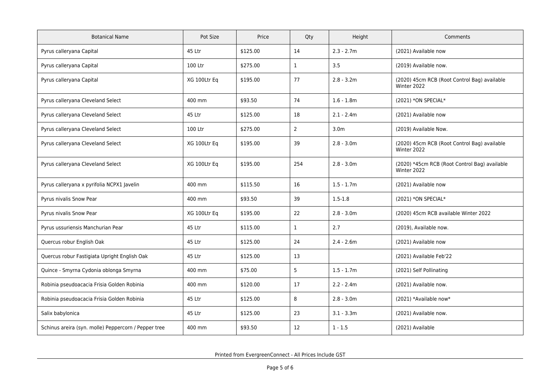| <b>Botanical Name</b>                                | Pot Size     | Price    | Qty            | Height           | Comments                                                     |
|------------------------------------------------------|--------------|----------|----------------|------------------|--------------------------------------------------------------|
| Pyrus calleryana Capital                             | 45 Ltr       | \$125.00 | 14             | $2.3 - 2.7m$     | (2021) Available now                                         |
| Pyrus calleryana Capital                             | 100 Ltr      | \$275.00 | $\mathbf{1}$   | 3.5              | (2019) Available now.                                        |
| Pyrus calleryana Capital                             | XG 100Ltr Eq | \$195.00 | 77             | $2.8 - 3.2m$     | (2020) 45cm RCB (Root Control Bag) available<br>Winter 2022  |
| Pyrus calleryana Cleveland Select                    | 400 mm       | \$93.50  | 74             | $1.6 - 1.8m$     | (2021) *ON SPECIAL*                                          |
| Pyrus calleryana Cleveland Select                    | 45 Ltr       | \$125.00 | 18             | $2.1 - 2.4m$     | (2021) Available now                                         |
| Pyrus calleryana Cleveland Select                    | 100 Ltr      | \$275.00 | $\overline{2}$ | 3.0 <sub>m</sub> | (2019) Available Now.                                        |
| Pyrus calleryana Cleveland Select                    | XG 100Ltr Eq | \$195.00 | 39             | $2.8 - 3.0m$     | (2020) 45cm RCB (Root Control Bag) available<br>Winter 2022  |
| Pyrus calleryana Cleveland Select                    | XG 100Ltr Eq | \$195.00 | 254            | $2.8 - 3.0m$     | (2020) *45cm RCB (Root Control Bag) available<br>Winter 2022 |
| Pyrus calleryana x pyrifolia NCPX1 Javelin           | 400 mm       | \$115.50 | 16             | $1.5 - 1.7m$     | (2021) Available now                                         |
| Pyrus nivalis Snow Pear                              | 400 mm       | \$93.50  | 39             | $1.5 - 1.8$      | (2021) *ON SPECIAL*                                          |
| Pyrus nivalis Snow Pear                              | XG 100Ltr Eq | \$195.00 | 22             | $2.8 - 3.0m$     | (2020) 45cm RCB available Winter 2022                        |
| Pyrus ussuriensis Manchurian Pear                    | 45 Ltr       | \$115.00 | $\mathbf{1}$   | 2.7              | (2019), Available now.                                       |
| Quercus robur English Oak                            | 45 Ltr       | \$125.00 | 24             | $2.4 - 2.6m$     | (2021) Available now                                         |
| Quercus robur Fastigiata Upright English Oak         | 45 Ltr       | \$125.00 | 13             |                  | (2021) Available Feb'22                                      |
| Quince - Smyrna Cydonia oblonga Smyrna               | 400 mm       | \$75.00  | 5              | $1.5 - 1.7m$     | (2021) Self Pollinating                                      |
| Robinia pseudoacacia Frisia Golden Robinia           | 400 mm       | \$120.00 | 17             | $2.2 - 2.4m$     | (2021) Available now.                                        |
| Robinia pseudoacacia Frisia Golden Robinia           | 45 Ltr       | \$125.00 | 8              | $2.8 - 3.0m$     | (2021) *Available now*                                       |
| Salix babylonica                                     | 45 Ltr       | \$125.00 | 23             | $3.1 - 3.3m$     | (2021) Available now.                                        |
| Schinus areira (syn. molle) Peppercorn / Pepper tree | 400 mm       | \$93.50  | 12             | $1 - 1.5$        | (2021) Available                                             |